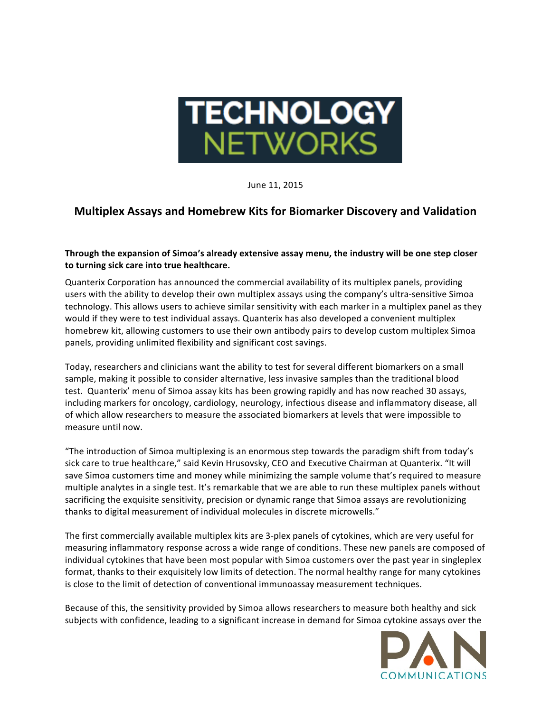

June 11, 2015

## **Multiplex Assays and Homebrew Kits for Biomarker Discovery and Validation**

## **Through the expansion of Simoa's already extensive assay menu, the industry will be one step closer** to turning sick care into true healthcare.

Quanterix Corporation has announced the commercial availability of its multiplex panels, providing users with the ability to develop their own multiplex assays using the company's ultra-sensitive Simoa technology. This allows users to achieve similar sensitivity with each marker in a multiplex panel as they would if they were to test individual assays. Quanterix has also developed a convenient multiplex homebrew kit, allowing customers to use their own antibody pairs to develop custom multiplex Simoa panels, providing unlimited flexibility and significant cost savings.

Today, researchers and clinicians want the ability to test for several different biomarkers on a small sample, making it possible to consider alternative, less invasive samples than the traditional blood test. Quanterix' menu of Simoa assay kits has been growing rapidly and has now reached 30 assays, including markers for oncology, cardiology, neurology, infectious disease and inflammatory disease, all of which allow researchers to measure the associated biomarkers at levels that were impossible to measure until now.

"The introduction of Simoa multiplexing is an enormous step towards the paradigm shift from today's sick care to true healthcare," said Kevin Hrusovsky, CEO and Executive Chairman at Quanterix. "It will save Simoa customers time and money while minimizing the sample volume that's required to measure multiple analytes in a single test. It's remarkable that we are able to run these multiplex panels without sacrificing the exquisite sensitivity, precision or dynamic range that Simoa assays are revolutionizing thanks to digital measurement of individual molecules in discrete microwells."

The first commercially available multiplex kits are 3-plex panels of cytokines, which are very useful for measuring inflammatory response across a wide range of conditions. These new panels are composed of individual cytokines that have been most popular with Simoa customers over the past year in singleplex format, thanks to their exquisitely low limits of detection. The normal healthy range for many cytokines is close to the limit of detection of conventional immunoassay measurement techniques.

Because of this, the sensitivity provided by Simoa allows researchers to measure both healthy and sick subjects with confidence, leading to a significant increase in demand for Simoa cytokine assays over the